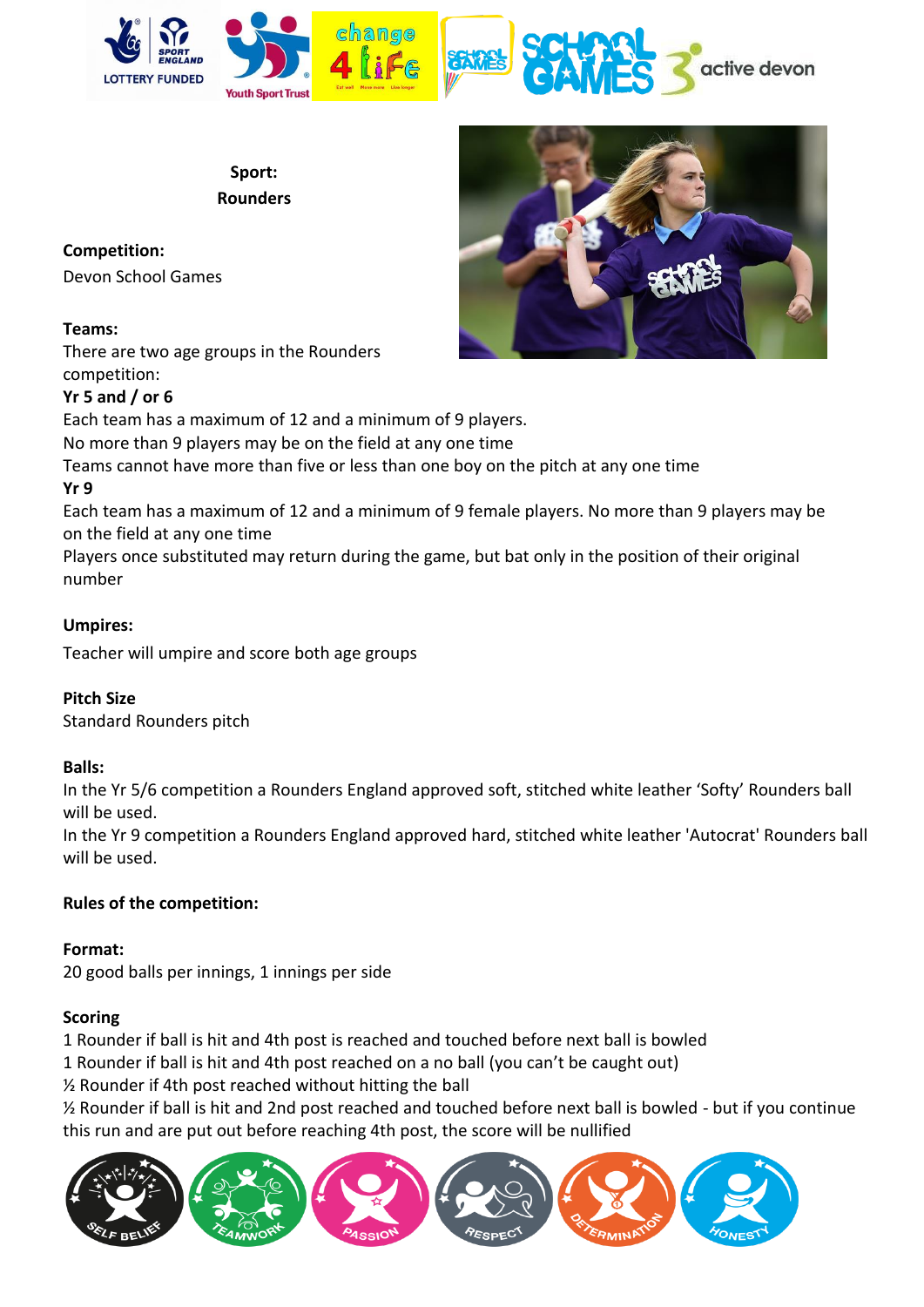

**Sport: Rounders**

### **Competition:**

Devon School Games

### **Teams:**

There are two age groups in the Rounders competition:

# **Yr 5 and / or 6**

Each team has a maximum of 12 and a minimum of 9 players.

No more than 9 players may be on the field at any one time

Teams cannot have more than five or less than one boy on the pitch at any one time **Yr 9** 

Each team has a maximum of 12 and a minimum of 9 female players. No more than 9 players may be on the field at any one time

Players once substituted may return during the game, but bat only in the position of their original number

### **Umpires:**

Teacher will umpire and score both age groups

### **Pitch Size**

Standard Rounders pitch

### **Balls:**

In the Yr 5/6 competition a Rounders England approved soft, stitched white leather 'Softy' Rounders ball will be used.

In the Yr 9 competition a Rounders England approved hard, stitched white leather 'Autocrat' Rounders ball will be used.

# **Rules of the competition:**

**Format:** 20 good balls per innings, 1 innings per side

# **Scoring**

1 Rounder if ball is hit and 4th post is reached and touched before next ball is bowled

1 Rounder if ball is hit and 4th post reached on a no ball (you can't be caught out)

½ Rounder if 4th post reached without hitting the ball

½ Rounder if ball is hit and 2nd post reached and touched before next ball is bowled - but if you continue this run and are put out before reaching 4th post, the score will be nullified



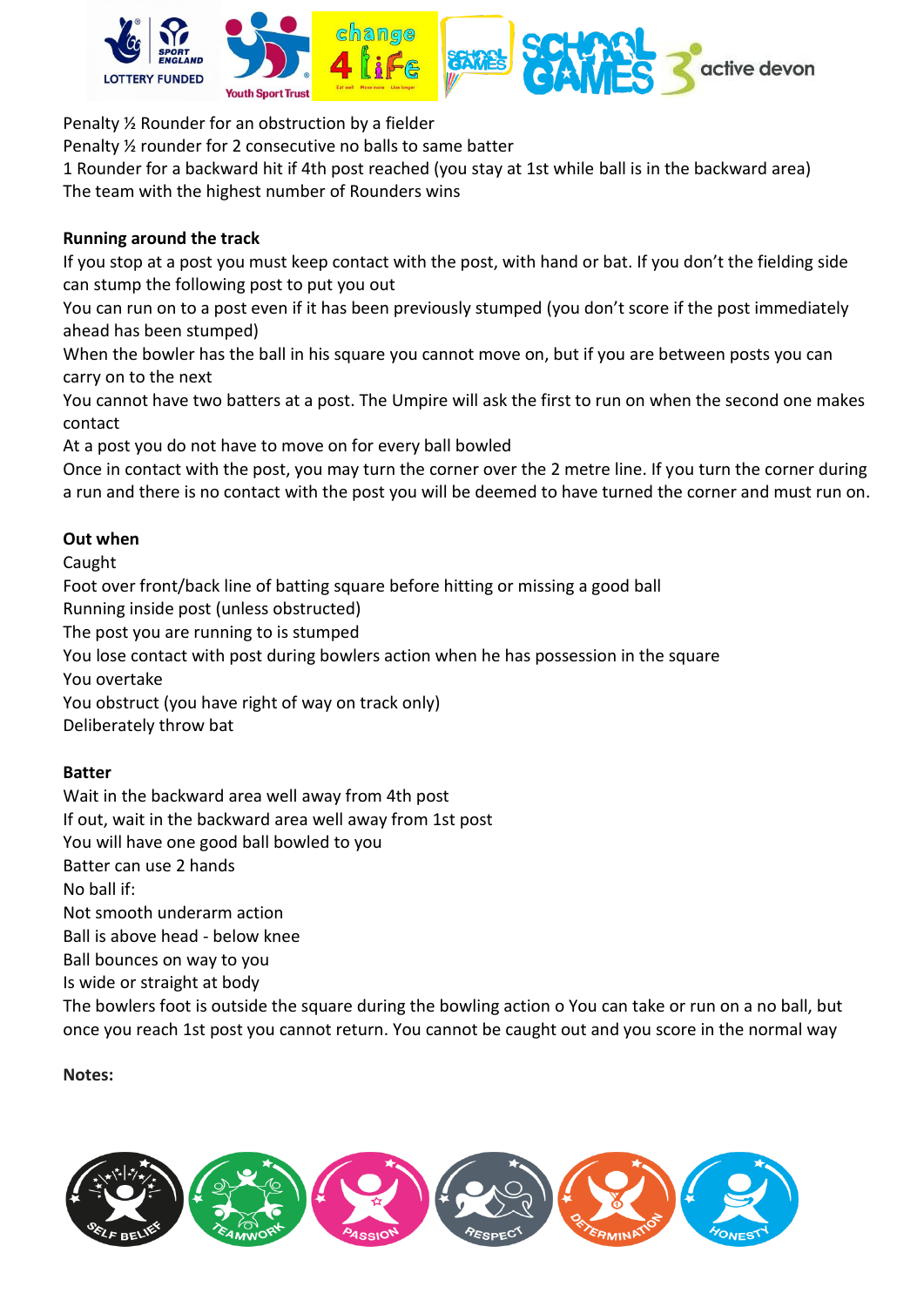

Penalty ½ Rounder for an obstruction by a fielder

Penalty ½ rounder for 2 consecutive no balls to same batter

1 Rounder for a backward hit if 4th post reached (you stay at 1st while ball is in the backward area) The team with the highest number of Rounders wins

### **Running around the track**

If you stop at a post you must keep contact with the post, with hand or bat. If you don't the fielding side can stump the following post to put you out

You can run on to a post even if it has been previously stumped (you don't score if the post immediately ahead has been stumped)

When the bowler has the ball in his square you cannot move on, but if you are between posts you can carry on to the next

You cannot have two batters at a post. The Umpire will ask the first to run on when the second one makes contact

At a post you do not have to move on for every ball bowled

Once in contact with the post, you may turn the corner over the 2 metre line. If you turn the corner during a run and there is no contact with the post you will be deemed to have turned the corner and must run on.

### **Out when**

Caught

Foot over front/back line of batting square before hitting or missing a good ball Running inside post (unless obstructed) The post you are running to is stumped You lose contact with post during bowlers action when he has possession in the square You overtake You obstruct (you have right of way on track only) Deliberately throw bat

### **Batter**

Wait in the backward area well away from 4th post If out, wait in the backward area well away from 1st post You will have one good ball bowled to you Batter can use 2 hands No ball if: Not smooth underarm action Ball is above head - below knee Ball bounces on way to you Is wide or straight at body The bowlers foot is outside the square during the bowling action o You can take or run on a no ball, but once you reach 1st post you cannot return. You cannot be caught out and you score in the normal way

**Notes:**

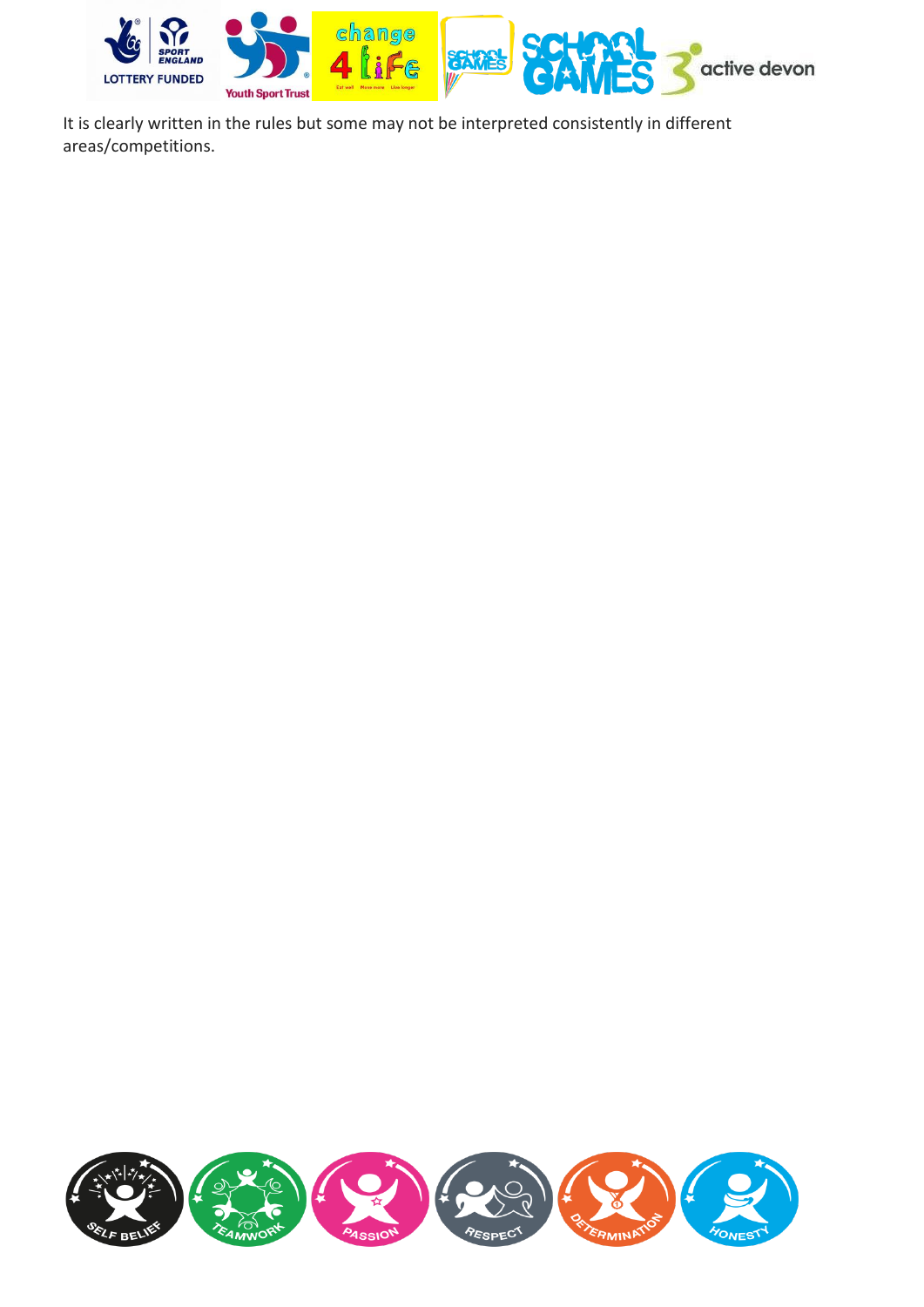

It is clearly written in the rules but some may not be interpreted consistently in different areas/competitions.